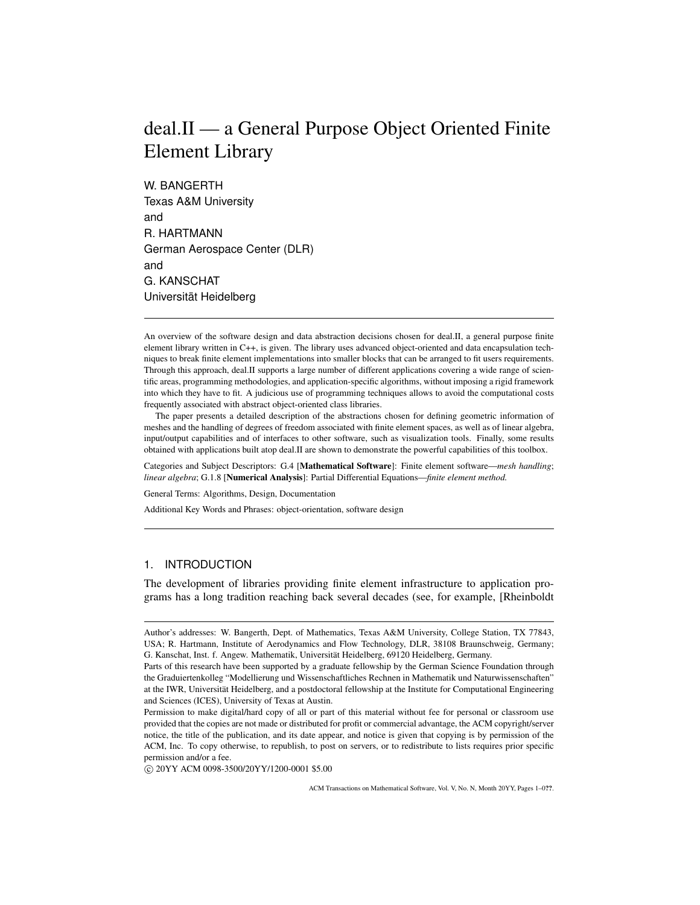# deal.II — a General Purpose Object Oriented Finite Element Library

W. BANGERTH Texas A&M University and R. HARTMANN German Aerospace Center (DLR) and G. KANSCHAT Universität Heidelberg

An overview of the software design and data abstraction decisions chosen for deal.II, a general purpose finite element library written in C++, is given. The library uses advanced object-oriented and data encapsulation techniques to break finite element implementations into smaller blocks that can be arranged to fit users requirements. Through this approach, deal.II supports a large number of different applications covering a wide range of scientific areas, programming methodologies, and application-specific algorithms, without imposing a rigid framework into which they have to fit. A judicious use of programming techniques allows to avoid the computational costs frequently associated with abstract object-oriented class libraries.

The paper presents a detailed description of the abstractions chosen for defining geometric information of meshes and the handling of degrees of freedom associated with finite element spaces, as well as of linear algebra, input/output capabilities and of interfaces to other software, such as visualization tools. Finally, some results obtained with applications built atop deal.II are shown to demonstrate the powerful capabilities of this toolbox.

Categories and Subject Descriptors: G.4 [Mathematical Software]: Finite element software—*mesh handling*; *linear algebra*; G.1.8 [Numerical Analysis]: Partial Differential Equations—*finite element method.*

General Terms: Algorithms, Design, Documentation

Additional Key Words and Phrases: object-orientation, software design

# 1. INTRODUCTION

The development of libraries providing finite element infrastructure to application programs has a long tradition reaching back several decades (see, for example, [Rheinboldt

c 20YY ACM 0098-3500/20YY/1200-0001 \$5.00

Author's addresses: W. Bangerth, Dept. of Mathematics, Texas A&M University, College Station, TX 77843, USA; R. Hartmann, Institute of Aerodynamics and Flow Technology, DLR, 38108 Braunschweig, Germany; G. Kanschat, Inst. f. Angew. Mathematik, Universität Heidelberg, 69120 Heidelberg, Germany.

Parts of this research have been supported by a graduate fellowship by the German Science Foundation through the Graduiertenkolleg "Modellierung und Wissenschaftliches Rechnen in Mathematik und Naturwissenschaften" at the IWR, Universität Heidelberg, and a postdoctoral fellowship at the Institute for Computational Engineering and Sciences (ICES), University of Texas at Austin.

Permission to make digital/hard copy of all or part of this material without fee for personal or classroom use provided that the copies are not made or distributed for profit or commercial advantage, the ACM copyright/server notice, the title of the publication, and its date appear, and notice is given that copying is by permission of the ACM, Inc. To copy otherwise, to republish, to post on servers, or to redistribute to lists requires prior specific permission and/or a fee.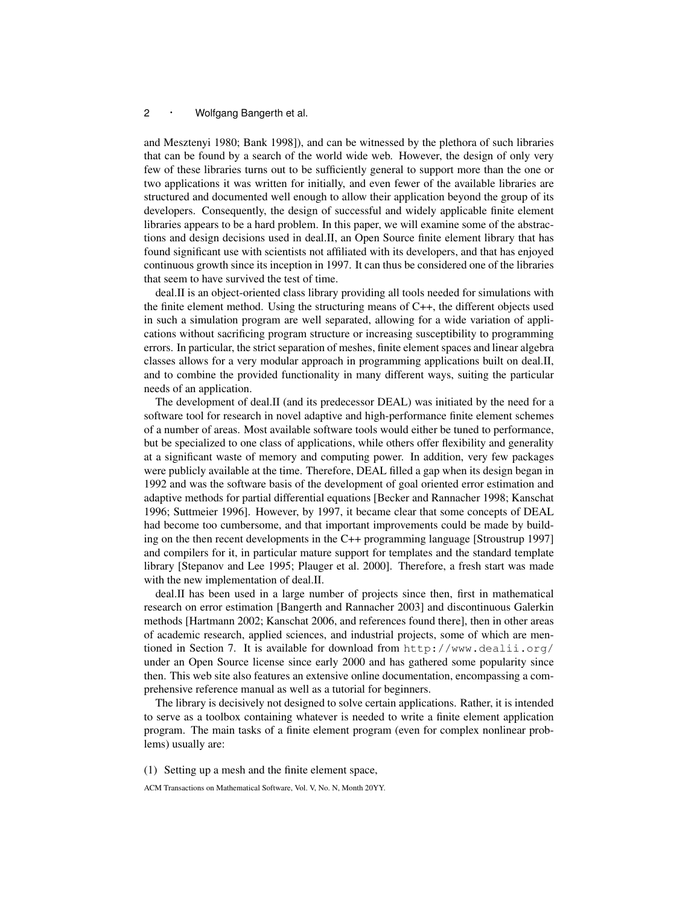and Mesztenyi 1980; Bank 1998]), and can be witnessed by the plethora of such libraries that can be found by a search of the world wide web. However, the design of only very few of these libraries turns out to be sufficiently general to support more than the one or two applications it was written for initially, and even fewer of the available libraries are structured and documented well enough to allow their application beyond the group of its developers. Consequently, the design of successful and widely applicable finite element libraries appears to be a hard problem. In this paper, we will examine some of the abstractions and design decisions used in deal.II, an Open Source finite element library that has found significant use with scientists not affiliated with its developers, and that has enjoyed continuous growth since its inception in 1997. It can thus be considered one of the libraries that seem to have survived the test of time.

deal.II is an object-oriented class library providing all tools needed for simulations with the finite element method. Using the structuring means of C++, the different objects used in such a simulation program are well separated, allowing for a wide variation of applications without sacrificing program structure or increasing susceptibility to programming errors. In particular, the strict separation of meshes, finite element spaces and linear algebra classes allows for a very modular approach in programming applications built on deal.II, and to combine the provided functionality in many different ways, suiting the particular needs of an application.

The development of deal.II (and its predecessor DEAL) was initiated by the need for a software tool for research in novel adaptive and high-performance finite element schemes of a number of areas. Most available software tools would either be tuned to performance, but be specialized to one class of applications, while others offer flexibility and generality at a significant waste of memory and computing power. In addition, very few packages were publicly available at the time. Therefore, DEAL filled a gap when its design began in 1992 and was the software basis of the development of goal oriented error estimation and adaptive methods for partial differential equations [Becker and Rannacher 1998; Kanschat 1996; Suttmeier 1996]. However, by 1997, it became clear that some concepts of DEAL had become too cumbersome, and that important improvements could be made by building on the then recent developments in the C++ programming language [Stroustrup 1997] and compilers for it, in particular mature support for templates and the standard template library [Stepanov and Lee 1995; Plauger et al. 2000]. Therefore, a fresh start was made with the new implementation of deal.II.

deal.II has been used in a large number of projects since then, first in mathematical research on error estimation [Bangerth and Rannacher 2003] and discontinuous Galerkin methods [Hartmann 2002; Kanschat 2006, and references found there], then in other areas of academic research, applied sciences, and industrial projects, some of which are mentioned in Section 7. It is available for download from http://www.dealii.org/ under an Open Source license since early 2000 and has gathered some popularity since then. This web site also features an extensive online documentation, encompassing a comprehensive reference manual as well as a tutorial for beginners.

The library is decisively not designed to solve certain applications. Rather, it is intended to serve as a toolbox containing whatever is needed to write a finite element application program. The main tasks of a finite element program (even for complex nonlinear problems) usually are:

(1) Setting up a mesh and the finite element space,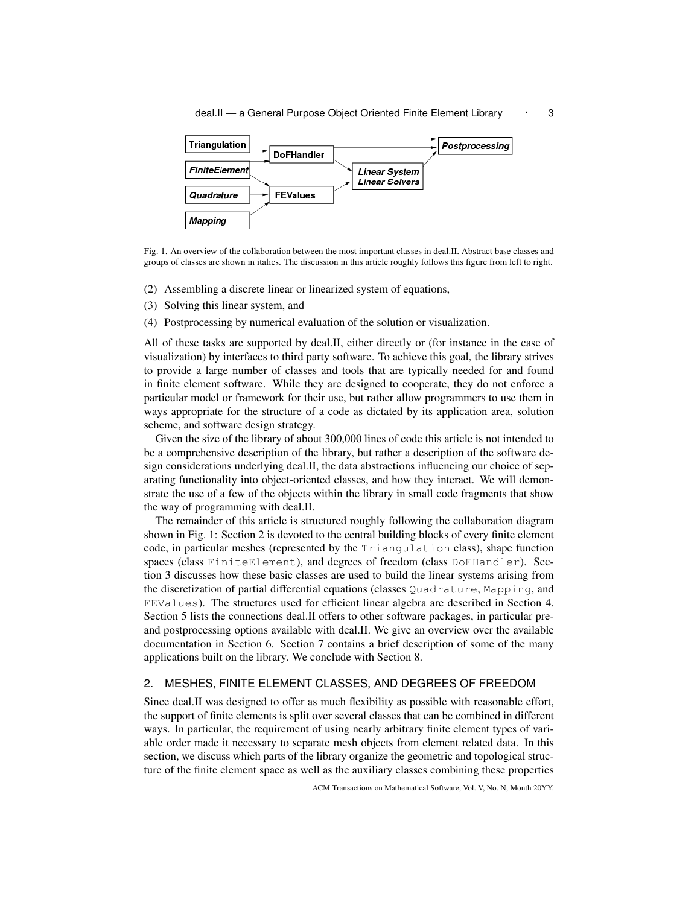



Fig. 1. An overview of the collaboration between the most important classes in deal.II. Abstract base classes and groups of classes are shown in italics. The discussion in this article roughly follows this figure from left to right.

- (2) Assembling a discrete linear or linearized system of equations,
- (3) Solving this linear system, and
- (4) Postprocessing by numerical evaluation of the solution or visualization.

All of these tasks are supported by deal.II, either directly or (for instance in the case of visualization) by interfaces to third party software. To achieve this goal, the library strives to provide a large number of classes and tools that are typically needed for and found in finite element software. While they are designed to cooperate, they do not enforce a particular model or framework for their use, but rather allow programmers to use them in ways appropriate for the structure of a code as dictated by its application area, solution scheme, and software design strategy.

Given the size of the library of about 300,000 lines of code this article is not intended to be a comprehensive description of the library, but rather a description of the software design considerations underlying deal.II, the data abstractions influencing our choice of separating functionality into object-oriented classes, and how they interact. We will demonstrate the use of a few of the objects within the library in small code fragments that show the way of programming with deal.II.

The remainder of this article is structured roughly following the collaboration diagram shown in Fig. 1: Section 2 is devoted to the central building blocks of every finite element code, in particular meshes (represented by the Triangulation class), shape function spaces (class FiniteElement), and degrees of freedom (class DoFHandler). Section 3 discusses how these basic classes are used to build the linear systems arising from the discretization of partial differential equations (classes Quadrature, Mapping, and FEValues). The structures used for efficient linear algebra are described in Section 4. Section 5 lists the connections deal.II offers to other software packages, in particular preand postprocessing options available with deal.II. We give an overview over the available documentation in Section 6. Section 7 contains a brief description of some of the many applications built on the library. We conclude with Section 8.

## 2. MESHES, FINITE ELEMENT CLASSES, AND DEGREES OF FREEDOM

Since deal.II was designed to offer as much flexibility as possible with reasonable effort, the support of finite elements is split over several classes that can be combined in different ways. In particular, the requirement of using nearly arbitrary finite element types of variable order made it necessary to separate mesh objects from element related data. In this section, we discuss which parts of the library organize the geometric and topological structure of the finite element space as well as the auxiliary classes combining these properties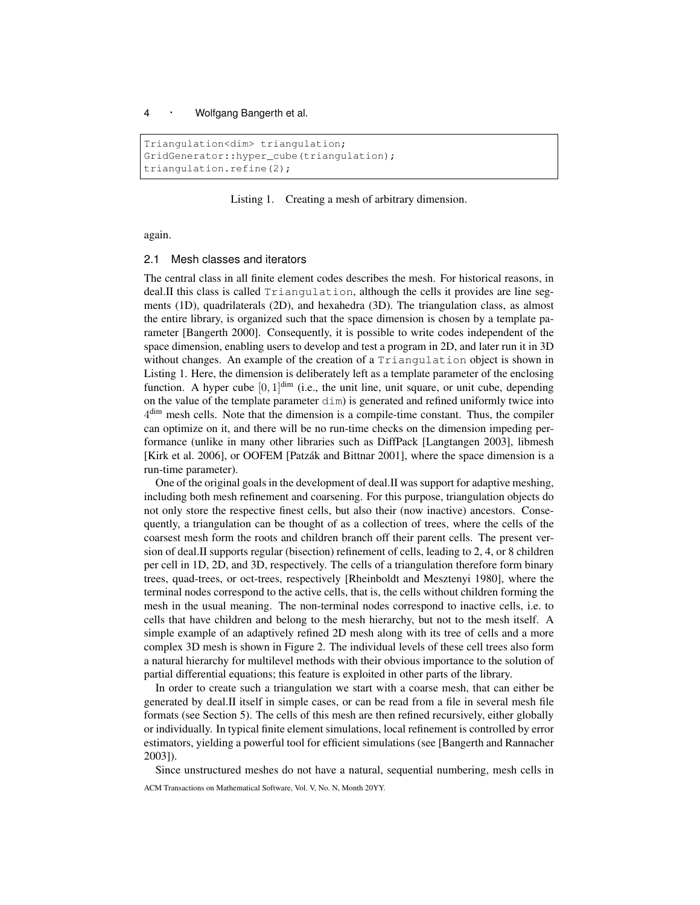```
Triangulation<dim> triangulation;
GridGenerator::hyper_cube(triangulation);
triangulation.refine(2);
```
## Listing 1. Creating a mesh of arbitrary dimension.

again.

#### 2.1 Mesh classes and iterators

The central class in all finite element codes describes the mesh. For historical reasons, in deal.II this class is called Triangulation, although the cells it provides are line segments (1D), quadrilaterals (2D), and hexahedra (3D). The triangulation class, as almost the entire library, is organized such that the space dimension is chosen by a template parameter [Bangerth 2000]. Consequently, it is possible to write codes independent of the space dimension, enabling users to develop and test a program in 2D, and later run it in 3D without changes. An example of the creation of a Triangulation object is shown in Listing 1. Here, the dimension is deliberately left as a template parameter of the enclosing function. A hyper cube  $[0, 1]^{dim}$  (i.e., the unit line, unit square, or unit cube, depending on the value of the template parameter  $\dim$ ) is generated and refined uniformly twice into  $4<sup>dim</sup>$  mesh cells. Note that the dimension is a compile-time constant. Thus, the compiler can optimize on it, and there will be no run-time checks on the dimension impeding performance (unlike in many other libraries such as DiffPack [Langtangen 2003], libmesh [Kirk et al. 2006], or OOFEM [Patzak and Bittnar 2001], where the space dimension is a ´ run-time parameter).

One of the original goals in the development of deal.II was support for adaptive meshing, including both mesh refinement and coarsening. For this purpose, triangulation objects do not only store the respective finest cells, but also their (now inactive) ancestors. Consequently, a triangulation can be thought of as a collection of trees, where the cells of the coarsest mesh form the roots and children branch off their parent cells. The present version of deal.II supports regular (bisection) refinement of cells, leading to 2, 4, or 8 children per cell in 1D, 2D, and 3D, respectively. The cells of a triangulation therefore form binary trees, quad-trees, or oct-trees, respectively [Rheinboldt and Mesztenyi 1980], where the terminal nodes correspond to the active cells, that is, the cells without children forming the mesh in the usual meaning. The non-terminal nodes correspond to inactive cells, i.e. to cells that have children and belong to the mesh hierarchy, but not to the mesh itself. A simple example of an adaptively refined 2D mesh along with its tree of cells and a more complex 3D mesh is shown in Figure 2. The individual levels of these cell trees also form a natural hierarchy for multilevel methods with their obvious importance to the solution of partial differential equations; this feature is exploited in other parts of the library.

In order to create such a triangulation we start with a coarse mesh, that can either be generated by deal.II itself in simple cases, or can be read from a file in several mesh file formats (see Section 5). The cells of this mesh are then refined recursively, either globally or individually. In typical finite element simulations, local refinement is controlled by error estimators, yielding a powerful tool for efficient simulations (see [Bangerth and Rannacher 2003]).

Since unstructured meshes do not have a natural, sequential numbering, mesh cells in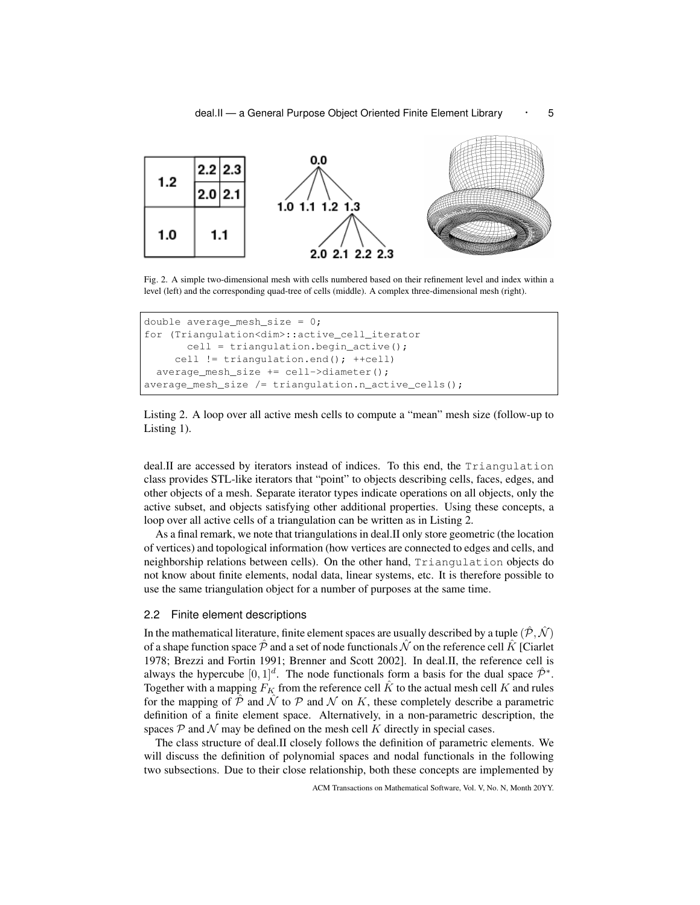

Fig. 2. A simple two-dimensional mesh with cells numbered based on their refinement level and index within a level (left) and the corresponding quad-tree of cells (middle). A complex three-dimensional mesh (right).

```
double average_mesh_size = 0;
for (Triangulation<dim>::active_cell_iterator
      cell = triangulation.begin_active();
    cell != triangulation.end(); ++cell)
 average_mesh_size += cell->diameter();
average_mesh_size /= triangulation.n_active_cells();
```


deal.II are accessed by iterators instead of indices. To this end, the Triangulation class provides STL-like iterators that "point" to objects describing cells, faces, edges, and other objects of a mesh. Separate iterator types indicate operations on all objects, only the active subset, and objects satisfying other additional properties. Using these concepts, a loop over all active cells of a triangulation can be written as in Listing 2.

As a final remark, we note that triangulations in deal.II only store geometric (the location of vertices) and topological information (how vertices are connected to edges and cells, and neighborship relations between cells). On the other hand, Triangulation objects do not know about finite elements, nodal data, linear systems, etc. It is therefore possible to use the same triangulation object for a number of purposes at the same time.

#### 2.2 Finite element descriptions

In the mathematical literature, finite element spaces are usually described by a tuple  $(\hat{\mathcal{P}}, \hat{\mathcal{N}})$ of a shape function space  $\hat{\mathcal{P}}$  and a set of node functionals  $\hat{\mathcal{N}}$  on the reference cell  $\hat{K}$  [Ciarlet 1978; Brezzi and Fortin 1991; Brenner and Scott 2002]. In deal.II, the reference cell is always the hypercube  $[0, 1]^d$ . The node functionals form a basis for the dual space  $\hat{\mathcal{P}}^*$ . Together with a mapping  $F_K$  from the reference cell  $\hat{K}$  to the actual mesh cell K and rules for the mapping of  $\hat{\mathcal{P}}$  and  $\hat{\mathcal{N}}$  to  $\mathcal{P}$  and  $\hat{\mathcal{N}}$  on K, these completely describe a parametric definition of a finite element space. Alternatively, in a non-parametric description, the spaces  $P$  and  $N$  may be defined on the mesh cell K directly in special cases.

The class structure of deal.II closely follows the definition of parametric elements. We will discuss the definition of polynomial spaces and nodal functionals in the following two subsections. Due to their close relationship, both these concepts are implemented by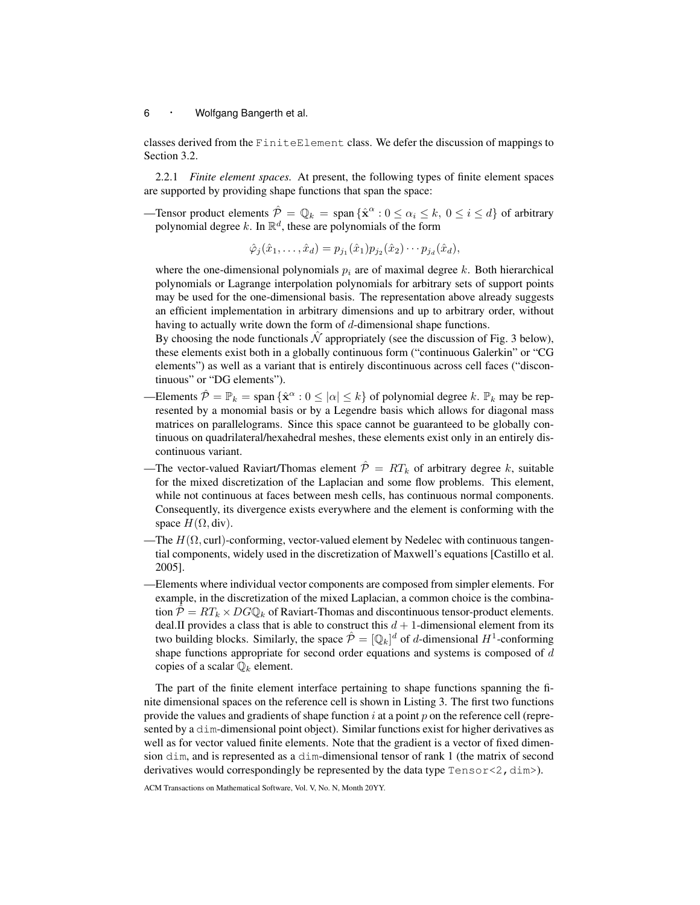classes derived from the FiniteElement class. We defer the discussion of mappings to Section 3.2.

2.2.1 *Finite element spaces.* At present, the following types of finite element spaces are supported by providing shape functions that span the space:

—Tensor product elements  $\hat{\mathcal{P}} = \mathbb{Q}_k = \text{span} \{ \hat{\mathbf{x}}^{\alpha} : 0 \le \alpha_i \le k, 0 \le i \le d \}$  of arbitrary polynomial degree k. In  $\mathbb{R}^d$ , these are polynomials of the form

$$
\hat{\varphi}_j(\hat{x}_1,\ldots,\hat{x}_d)=p_{j_1}(\hat{x}_1)p_{j_2}(\hat{x}_2)\cdots p_{j_d}(\hat{x}_d),
$$

where the one-dimensional polynomials  $p_i$  are of maximal degree k. Both hierarchical polynomials or Lagrange interpolation polynomials for arbitrary sets of support points may be used for the one-dimensional basis. The representation above already suggests an efficient implementation in arbitrary dimensions and up to arbitrary order, without having to actually write down the form of d-dimensional shape functions.

By choosing the node functionals  $\hat{N}$  appropriately (see the discussion of Fig. 3 below), these elements exist both in a globally continuous form ("continuous Galerkin" or "CG elements") as well as a variant that is entirely discontinuous across cell faces ("discontinuous" or "DG elements").

- —Elements  $\hat{\mathcal{P}} = \mathbb{P}_k = \text{span} \{ \hat{\mathbf{x}}^{\alpha} : 0 \leq |\alpha| \leq k \}$  of polynomial degree k.  $\mathbb{P}_k$  may be represented by a monomial basis or by a Legendre basis which allows for diagonal mass matrices on parallelograms. Since this space cannot be guaranteed to be globally continuous on quadrilateral/hexahedral meshes, these elements exist only in an entirely discontinuous variant.
- -The vector-valued Raviart/Thomas element  $\hat{\mathcal{P}} = RT_k$  of arbitrary degree k, suitable for the mixed discretization of the Laplacian and some flow problems. This element, while not continuous at faces between mesh cells, has continuous normal components. Consequently, its divergence exists everywhere and the element is conforming with the space  $H(\Omega, \text{div}).$
- -The  $H(\Omega, \text{curl})$ -conforming, vector-valued element by Nedelec with continuous tangential components, widely used in the discretization of Maxwell's equations [Castillo et al. 2005].
- —Elements where individual vector components are composed from simpler elements. For example, in the discretization of the mixed Laplacian, a common choice is the combination  $\hat{\mathcal{P}} = RT_k \times DG\mathbb{Q}_k$  of Raviart-Thomas and discontinuous tensor-product elements. deal.II provides a class that is able to construct this  $d + 1$ -dimensional element from its two building blocks. Similarly, the space  $\hat{\mathcal{P}} = [\mathbb{Q}_k]^d$  of d-dimensional  $H^1$ -conforming shape functions appropriate for second order equations and systems is composed of d copies of a scalar  $\mathbb{Q}_k$  element.

The part of the finite element interface pertaining to shape functions spanning the finite dimensional spaces on the reference cell is shown in Listing 3. The first two functions provide the values and gradients of shape function  $i$  at a point  $p$  on the reference cell (represented by a dim-dimensional point object). Similar functions exist for higher derivatives as well as for vector valued finite elements. Note that the gradient is a vector of fixed dimension dim, and is represented as a dim-dimensional tensor of rank 1 (the matrix of second derivatives would correspondingly be represented by the data type  $Tensor < 2$ ,  $dim >$ ).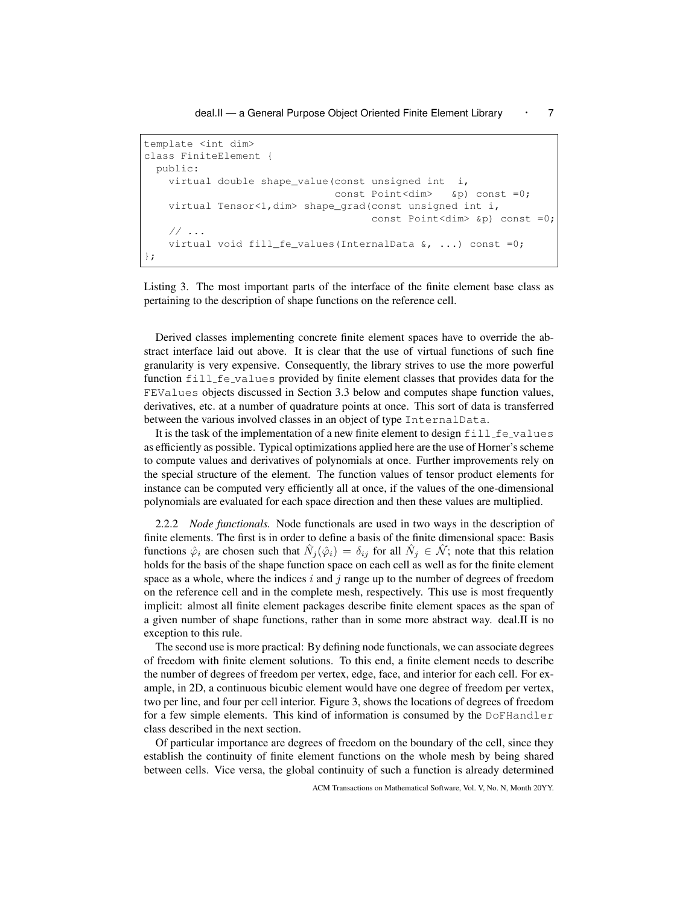deal.II — a General Purpose Object Oriented Finite Element Library • 7

```
template <int dim>
class FiniteElement {
 public:
   virtual double shape_value(const unsigned int i,
                               const Point<dim> &p) const =0;
   virtual Tensor<1,dim> shape_grad(const unsigned int i,
                                     const Point<dim> &p) const =0;
   // ...
   virtual void fill_fe_values(InternalData &, ...) const =0;
};
```
Listing 3. The most important parts of the interface of the finite element base class as pertaining to the description of shape functions on the reference cell.

Derived classes implementing concrete finite element spaces have to override the abstract interface laid out above. It is clear that the use of virtual functions of such fine granularity is very expensive. Consequently, the library strives to use the more powerful function fill fe values provided by finite element classes that provides data for the FEValues objects discussed in Section 3.3 below and computes shape function values, derivatives, etc. at a number of quadrature points at once. This sort of data is transferred between the various involved classes in an object of type InternalData.

It is the task of the implementation of a new finite element to design  $fill\_fe\_values$ as efficiently as possible. Typical optimizations applied here are the use of Horner's scheme to compute values and derivatives of polynomials at once. Further improvements rely on the special structure of the element. The function values of tensor product elements for instance can be computed very efficiently all at once, if the values of the one-dimensional polynomials are evaluated for each space direction and then these values are multiplied.

2.2.2 *Node functionals.* Node functionals are used in two ways in the description of finite elements. The first is in order to define a basis of the finite dimensional space: Basis functions  $\hat{\varphi}_i$  are chosen such that  $\hat{N}_j(\hat{\varphi}_i) = \delta_{ij}$  for all  $\hat{N}_j \in \hat{\mathcal{N}}$ ; note that this relation holds for the basis of the shape function space on each cell as well as for the finite element space as a whole, where the indices i and j range up to the number of degrees of freedom on the reference cell and in the complete mesh, respectively. This use is most frequently implicit: almost all finite element packages describe finite element spaces as the span of a given number of shape functions, rather than in some more abstract way. deal.II is no exception to this rule.

The second use is more practical: By defining node functionals, we can associate degrees of freedom with finite element solutions. To this end, a finite element needs to describe the number of degrees of freedom per vertex, edge, face, and interior for each cell. For example, in 2D, a continuous bicubic element would have one degree of freedom per vertex, two per line, and four per cell interior. Figure 3, shows the locations of degrees of freedom for a few simple elements. This kind of information is consumed by the DoFHandler class described in the next section.

Of particular importance are degrees of freedom on the boundary of the cell, since they establish the continuity of finite element functions on the whole mesh by being shared between cells. Vice versa, the global continuity of such a function is already determined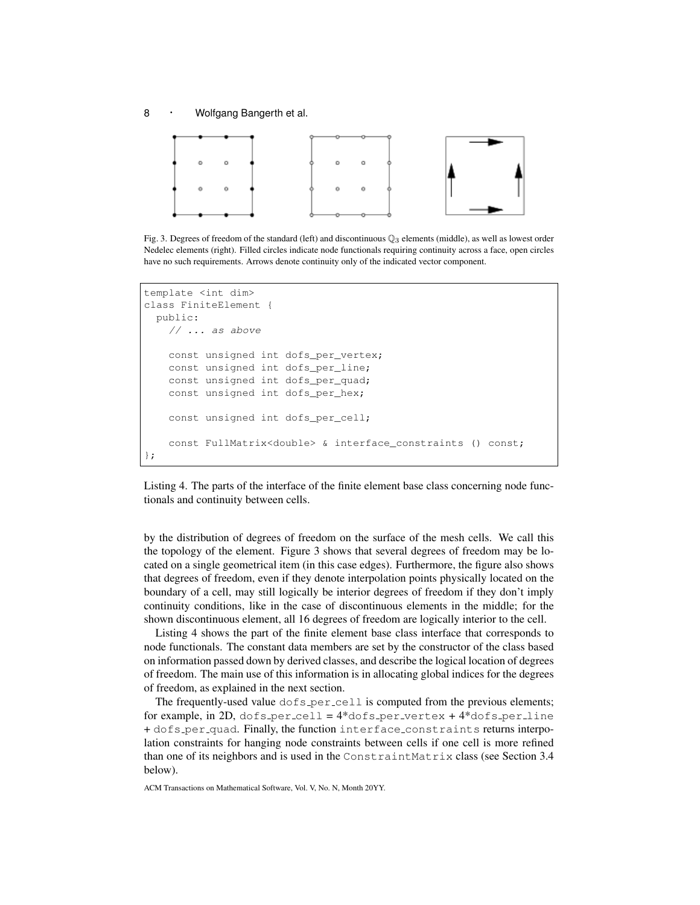8 · Wolfgang Bangerth et al.



Fig. 3. Degrees of freedom of the standard (left) and discontinuous  $\mathbb{Q}_3$  elements (middle), as well as lowest order Nedelec elements (right). Filled circles indicate node functionals requiring continuity across a face, open circles have no such requirements. Arrows denote continuity only of the indicated vector component.

```
template <int dim>
class FiniteElement {
 public:
    // ... as above
    const unsigned int dofs_per_vertex;
    const unsigned int dofs_per_line;
    const unsigned int dofs per quad;
    const unsigned int dofs_per_hex;
    const unsigned int dofs_per_cell;
    const FullMatrix<double> & interface_constraints () const;
};
```
Listing 4. The parts of the interface of the finite element base class concerning node functionals and continuity between cells.

by the distribution of degrees of freedom on the surface of the mesh cells. We call this the topology of the element. Figure 3 shows that several degrees of freedom may be located on a single geometrical item (in this case edges). Furthermore, the figure also shows that degrees of freedom, even if they denote interpolation points physically located on the boundary of a cell, may still logically be interior degrees of freedom if they don't imply continuity conditions, like in the case of discontinuous elements in the middle; for the shown discontinuous element, all 16 degrees of freedom are logically interior to the cell.

Listing 4 shows the part of the finite element base class interface that corresponds to node functionals. The constant data members are set by the constructor of the class based on information passed down by derived classes, and describe the logical location of degrees of freedom. The main use of this information is in allocating global indices for the degrees of freedom, as explained in the next section.

The frequently-used value  $\text{dofs\_per\_cell}$  is computed from the previous elements; for example, in 2D, dofs\_per\_cell =  $4*$ dofs\_per\_vertex +  $4*$ dofs\_per\_line + dofs per quad. Finally, the function interface constraints returns interpolation constraints for hanging node constraints between cells if one cell is more refined than one of its neighbors and is used in the ConstraintMatrix class (see Section 3.4 below).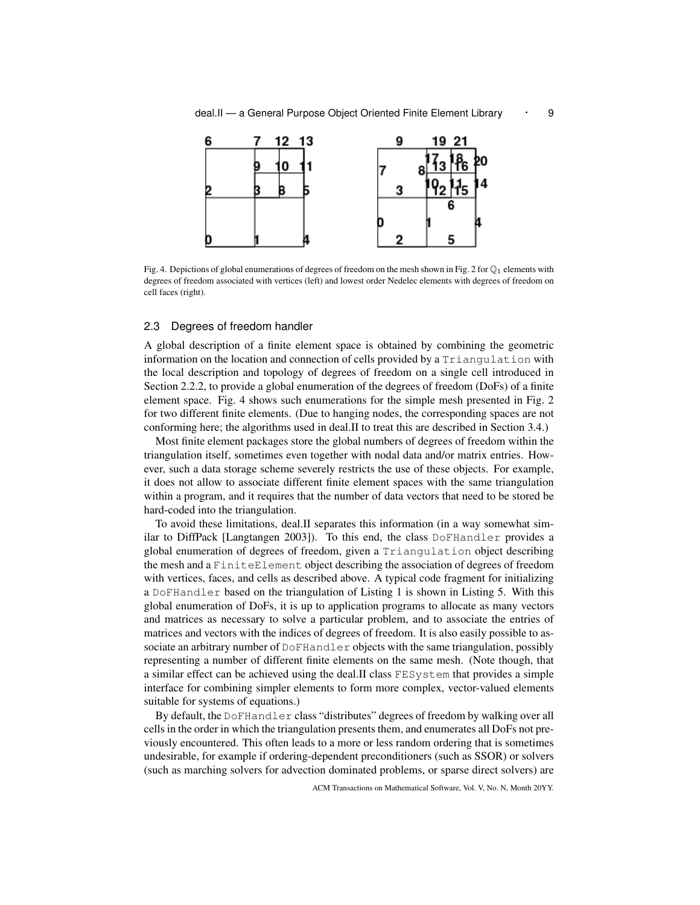

Fig. 4. Depictions of global enumerations of degrees of freedom on the mesh shown in Fig. 2 for  $\mathbb{Q}_1$  elements with degrees of freedom associated with vertices (left) and lowest order Nedelec elements with degrees of freedom on cell faces (right).

## 2.3 Degrees of freedom handler

A global description of a finite element space is obtained by combining the geometric information on the location and connection of cells provided by a Triangulation with the local description and topology of degrees of freedom on a single cell introduced in Section 2.2.2, to provide a global enumeration of the degrees of freedom (DoFs) of a finite element space. Fig. 4 shows such enumerations for the simple mesh presented in Fig. 2 for two different finite elements. (Due to hanging nodes, the corresponding spaces are not conforming here; the algorithms used in deal.II to treat this are described in Section 3.4.)

Most finite element packages store the global numbers of degrees of freedom within the triangulation itself, sometimes even together with nodal data and/or matrix entries. However, such a data storage scheme severely restricts the use of these objects. For example, it does not allow to associate different finite element spaces with the same triangulation within a program, and it requires that the number of data vectors that need to be stored be hard-coded into the triangulation.

To avoid these limitations, deal.II separates this information (in a way somewhat similar to DiffPack [Langtangen 2003]). To this end, the class  $\text{DoFHandler}$  provides a global enumeration of degrees of freedom, given a Triangulation object describing the mesh and a FiniteElement object describing the association of degrees of freedom with vertices, faces, and cells as described above. A typical code fragment for initializing a DoFHandler based on the triangulation of Listing 1 is shown in Listing 5. With this global enumeration of DoFs, it is up to application programs to allocate as many vectors and matrices as necessary to solve a particular problem, and to associate the entries of matrices and vectors with the indices of degrees of freedom. It is also easily possible to associate an arbitrary number of DoFHandler objects with the same triangulation, possibly representing a number of different finite elements on the same mesh. (Note though, that a similar effect can be achieved using the deal.II class FESystem that provides a simple interface for combining simpler elements to form more complex, vector-valued elements suitable for systems of equations.)

By default, the DoFHandler class "distributes" degrees of freedom by walking over all cells in the order in which the triangulation presents them, and enumerates all DoFs not previously encountered. This often leads to a more or less random ordering that is sometimes undesirable, for example if ordering-dependent preconditioners (such as SSOR) or solvers (such as marching solvers for advection dominated problems, or sparse direct solvers) are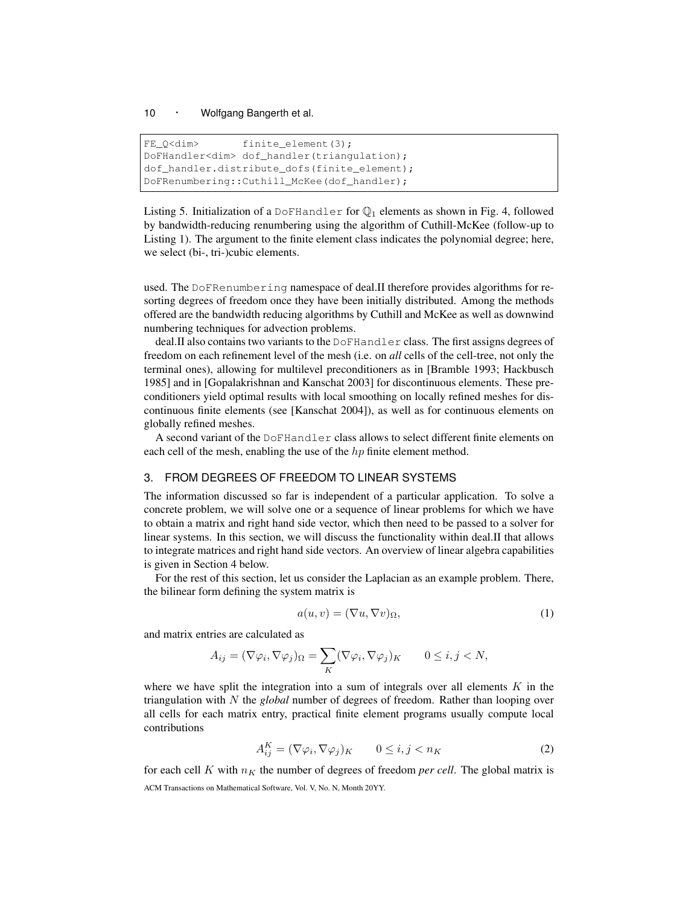```
FE_Q<dim>
finite_element(3);
DoFHandler<dim> dof_handler(triangulation);
dof_handler.distribute_dofs(finite_element);
DoFRenumbering::Cuthill_McKee(dof_handler);
```
Listing 5. Initialization of a DoFHandler for  $\mathbb{Q}_1$  elements as shown in Fig. 4, followed by bandwidth-reducing renumbering using the algorithm of Cuthill-McKee (follow-up to Listing 1). The argument to the finite element class indicates the polynomial degree; here, we select (bi-, tri-)cubic elements.

used. The DoFRenumbering namespace of deal.II therefore provides algorithms for resorting degrees of freedom once they have been initially distributed. Among the methods offered are the bandwidth reducing algorithms by Cuthill and McKee as well as downwind numbering techniques for advection problems.

deal.II also contains two variants to the DoFHandler class. The first assigns degrees of freedom on each refinement level of the mesh (i.e. on *all* cells of the cell-tree, not only the terminal ones), allowing for multilevel preconditioners as in [Bramble 1993; Hackbusch 1985] and in [Gopalakrishnan and Kanschat 2003] for discontinuous elements. These preconditioners yield optimal results with local smoothing on locally refined meshes for discontinuous finite elements (see [Kanschat 2004]), as well as for continuous elements on globally refined meshes.

A second variant of the DoFHandler class allows to select different finite elements on each cell of the mesh, enabling the use of the  $hp$  finite element method.

## 3. FROM DEGREES OF FREEDOM TO LINEAR SYSTEMS

The information discussed so far is independent of a particular application. To solve a concrete problem, we will solve one or a sequence of linear problems for which we have to obtain a matrix and right hand side vector, which then need to be passed to a solver for linear systems. In this section, we will discuss the functionality within deal.II that allows to integrate matrices and right hand side vectors. An overview of linear algebra capabilities is given in Section 4 below.

For the rest of this section, let us consider the Laplacian as an example problem. There, the bilinear form defining the system matrix is

$$
a(u, v) = (\nabla u, \nabla v)_{\Omega},\tag{1}
$$

and matrix entries are calculated as

$$
A_{ij} = (\nabla \varphi_i, \nabla \varphi_j)_{\Omega} = \sum_K (\nabla \varphi_i, \nabla \varphi_j)_K \qquad 0 \le i, j < N,
$$

where we have split the integration into a sum of integrals over all elements  $K$  in the triangulation with N the *global* number of degrees of freedom. Rather than looping over all cells for each matrix entry, practical finite element programs usually compute local contributions

$$
A_{ij}^K = (\nabla \varphi_i, \nabla \varphi_j)_K \qquad 0 \le i, j < n_K \tag{2}
$$

for each cell K with  $n<sub>K</sub>$  the number of degrees of freedom *per cell*. The global matrix is ACM Transactions on Mathematical Software, Vol. V, No. N, Month 20YY.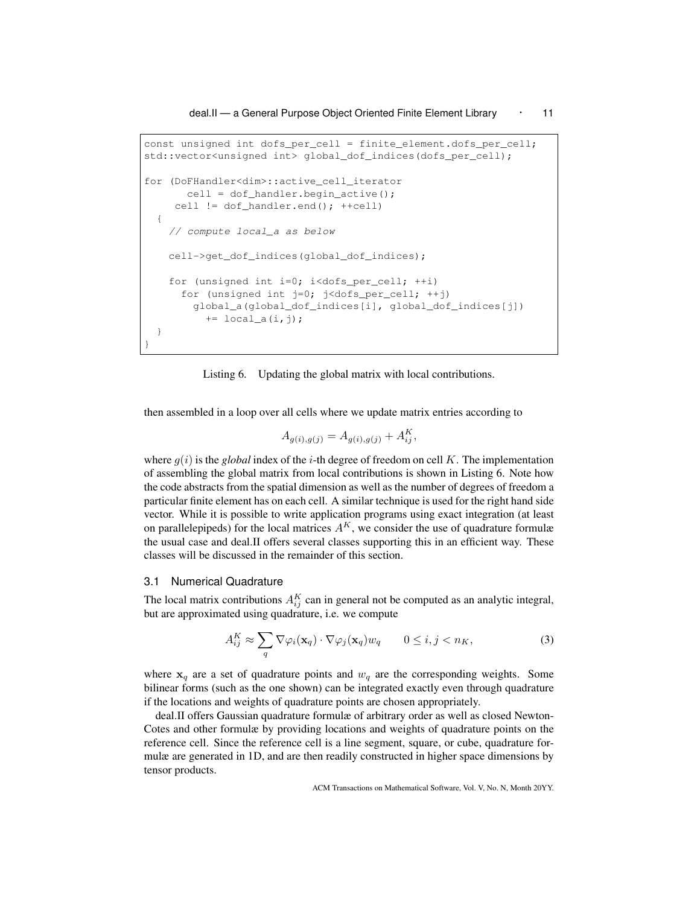deal.II — a General Purpose Object Oriented Finite Element Library • 11

```
const unsigned int dofs_per_cell = finite_element.dofs_per_cell;
std::vector<unsigned int> global_dof_indices(dofs_per_cell);
for (DoFHandler<dim>::active_cell_iterator
      cell = dof_handler.begin_active();
    cell != dof_handler.end(); ++cell)
  {
    // compute local_a as below
    cell->get_dof_indices(global_dof_indices);
    for (unsigned int i=0; i<dofs_per_cell; ++i)
     for (unsigned int j=0; j<dofs_per_cell; ++j)
        global_a(global_dof_indices[i], global_dof_indices[j])
          += local_a(i,j);
  }
}
```
Listing 6. Updating the global matrix with local contributions.

then assembled in a loop over all cells where we update matrix entries according to

$$
A_{g(i),g(j)} = A_{g(i),g(j)} + A_{ij}^K,
$$

where  $q(i)$  is the *global* index of the *i*-th degree of freedom on cell K. The implementation of assembling the global matrix from local contributions is shown in Listing 6. Note how the code abstracts from the spatial dimension as well as the number of degrees of freedom a particular finite element has on each cell. A similar technique is used for the right hand side vector. While it is possible to write application programs using exact integration (at least on parallelepipeds) for the local matrices  $A<sup>K</sup>$ , we consider the use of quadrature formulæ the usual case and deal.II offers several classes supporting this in an efficient way. These classes will be discussed in the remainder of this section.

#### 3.1 Numerical Quadrature

The local matrix contributions  $A_{ij}^K$  can in general not be computed as an analytic integral, but are approximated using quadrature, i.e. we compute

$$
A_{ij}^K \approx \sum_q \nabla \varphi_i(\mathbf{x}_q) \cdot \nabla \varphi_j(\mathbf{x}_q) w_q \qquad 0 \le i, j < n_K,\tag{3}
$$

where  $x_q$  are a set of quadrature points and  $w_q$  are the corresponding weights. Some bilinear forms (such as the one shown) can be integrated exactly even through quadrature if the locations and weights of quadrature points are chosen appropriately.

deal.II offers Gaussian quadrature formulæ of arbitrary order as well as closed Newton-Cotes and other formulæ by providing locations and weights of quadrature points on the reference cell. Since the reference cell is a line segment, square, or cube, quadrature formulæ are generated in 1D, and are then readily constructed in higher space dimensions by tensor products.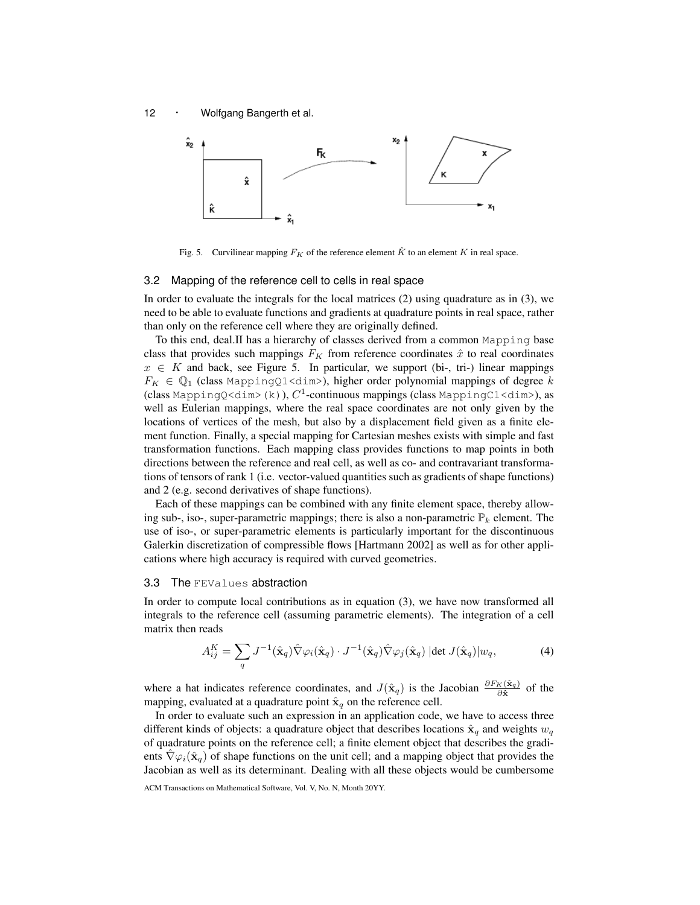



Fig. 5. Curvilinear mapping  $F_K$  of the reference element  $\hat{K}$  to an element K in real space.

#### 3.2 Mapping of the reference cell to cells in real space

In order to evaluate the integrals for the local matrices (2) using quadrature as in (3), we need to be able to evaluate functions and gradients at quadrature points in real space, rather than only on the reference cell where they are originally defined.

To this end, deal.II has a hierarchy of classes derived from a common Mapping base class that provides such mappings  $F_K$  from reference coordinates  $\hat{x}$  to real coordinates  $x \in K$  and back, see Figure 5. In particular, we support (bi-, tri-) linear mappings  $F_K \in \mathbb{Q}_1$  (class MappingQ1<dim>), higher order polynomial mappings of degree k (class MappingQ<dim>(k)), $C^1$ -continuous mappings (class MappingC1<dim>), as well as Eulerian mappings, where the real space coordinates are not only given by the locations of vertices of the mesh, but also by a displacement field given as a finite element function. Finally, a special mapping for Cartesian meshes exists with simple and fast transformation functions. Each mapping class provides functions to map points in both directions between the reference and real cell, as well as co- and contravariant transformations of tensors of rank 1 (i.e. vector-valued quantities such as gradients of shape functions) and 2 (e.g. second derivatives of shape functions).

Each of these mappings can be combined with any finite element space, thereby allowing sub-, iso-, super-parametric mappings; there is also a non-parametric  $\mathbb{P}_k$  element. The use of iso-, or super-parametric elements is particularly important for the discontinuous Galerkin discretization of compressible flows [Hartmann 2002] as well as for other applications where high accuracy is required with curved geometries.

#### 3.3 The FEValues abstraction

In order to compute local contributions as in equation (3), we have now transformed all integrals to the reference cell (assuming parametric elements). The integration of a cell matrix then reads

$$
A_{ij}^K = \sum_q J^{-1}(\hat{\mathbf{x}}_q) \hat{\nabla} \varphi_i(\hat{\mathbf{x}}_q) \cdot J^{-1}(\hat{\mathbf{x}}_q) \hat{\nabla} \varphi_j(\hat{\mathbf{x}}_q) |\det J(\hat{\mathbf{x}}_q)| w_q, \tag{4}
$$

where a hat indicates reference coordinates, and  $J(\hat{\mathbf{x}}_q)$  is the Jacobian  $\frac{\partial F_K(\hat{\mathbf{x}}_q)}{\partial \hat{\mathbf{x}}}$  of the mapping, evaluated at a quadrature point  $\hat{\mathbf{x}}_q$  on the reference cell.

In order to evaluate such an expression in an application code, we have to access three different kinds of objects: a quadrature object that describes locations  $\hat{\mathbf{x}}_q$  and weights  $w_q$ of quadrature points on the reference cell; a finite element object that describes the gradients  $\nabla \varphi_i(\hat{\mathbf{x}}_q)$  of shape functions on the unit cell; and a mapping object that provides the Jacobian as well as its determinant. Dealing with all these objects would be cumbersome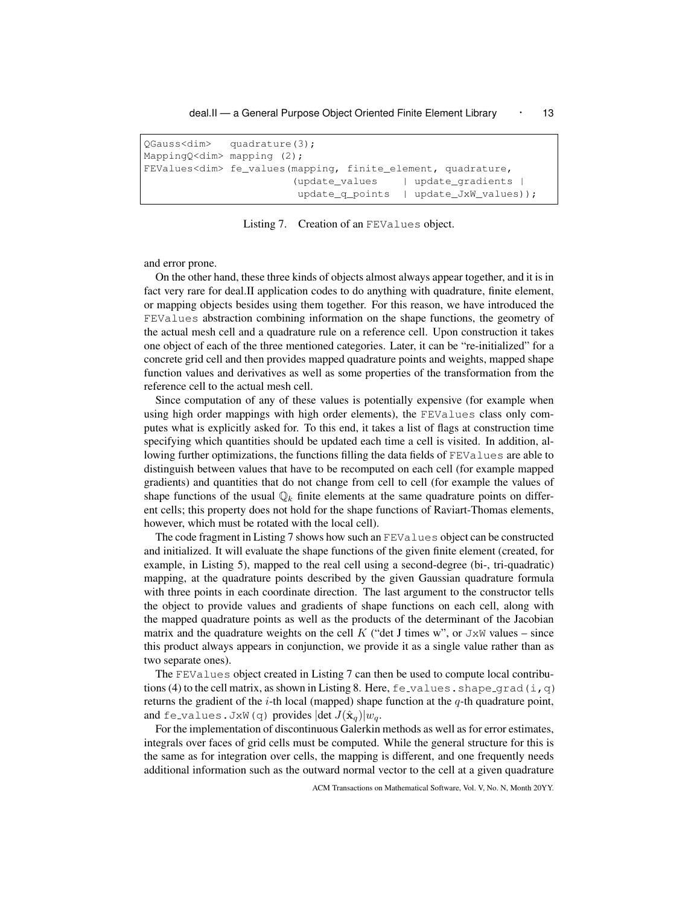#### deal.II — a General Purpose Object Oriented Finite Element Library • 13

QGauss<dim> quadrature(3); MappingQ<dim> mapping (2); FEValues<dim> fe\_values(mapping, finite\_element, quadrature, (update\_values | update\_gradients | update\_q\_points | update\_JxW\_values));

Listing 7. Creation of an FEValues object.

and error prone.

On the other hand, these three kinds of objects almost always appear together, and it is in fact very rare for deal.II application codes to do anything with quadrature, finite element, or mapping objects besides using them together. For this reason, we have introduced the FEValues abstraction combining information on the shape functions, the geometry of the actual mesh cell and a quadrature rule on a reference cell. Upon construction it takes one object of each of the three mentioned categories. Later, it can be "re-initialized" for a concrete grid cell and then provides mapped quadrature points and weights, mapped shape function values and derivatives as well as some properties of the transformation from the reference cell to the actual mesh cell.

Since computation of any of these values is potentially expensive (for example when using high order mappings with high order elements), the FEValues class only computes what is explicitly asked for. To this end, it takes a list of flags at construction time specifying which quantities should be updated each time a cell is visited. In addition, allowing further optimizations, the functions filling the data fields of FEValues are able to distinguish between values that have to be recomputed on each cell (for example mapped gradients) and quantities that do not change from cell to cell (for example the values of shape functions of the usual  $\mathbb{Q}_k$  finite elements at the same quadrature points on different cells; this property does not hold for the shape functions of Raviart-Thomas elements, however, which must be rotated with the local cell).

The code fragment in Listing 7 shows how such an FEValues object can be constructed and initialized. It will evaluate the shape functions of the given finite element (created, for example, in Listing 5), mapped to the real cell using a second-degree (bi-, tri-quadratic) mapping, at the quadrature points described by the given Gaussian quadrature formula with three points in each coordinate direction. The last argument to the constructor tells the object to provide values and gradients of shape functions on each cell, along with the mapped quadrature points as well as the products of the determinant of the Jacobian matrix and the quadrature weights on the cell K ("det J times w", or  $JxW$  values – since this product always appears in conjunction, we provide it as a single value rather than as two separate ones).

The FEValues object created in Listing 7 can then be used to compute local contributions (4) to the cell matrix, as shown in Listing 8. Here,  $fe$ -values. shape-grad(i,q) returns the gradient of the *i*-th local (mapped) shape function at the  $q$ -th quadrature point, and fe\_values. JxW(q) provides  $|\det J(\hat{\mathbf{x}}_q)|w_q$ .

For the implementation of discontinuous Galerkin methods as well as for error estimates, integrals over faces of grid cells must be computed. While the general structure for this is the same as for integration over cells, the mapping is different, and one frequently needs additional information such as the outward normal vector to the cell at a given quadrature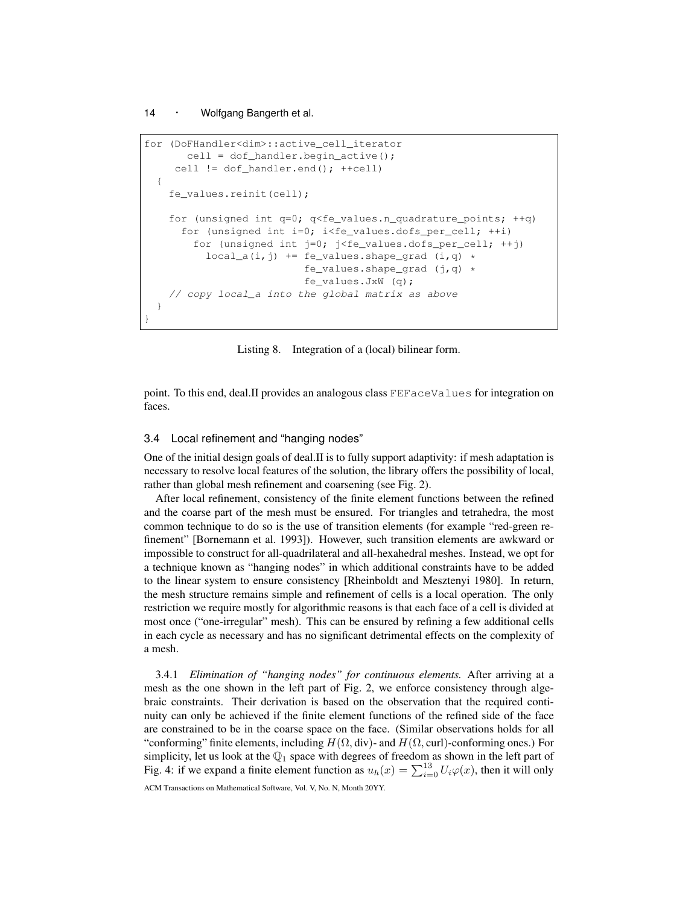```
for (DoFHandler<dim>::active_cell_iterator
       cell = dof_handler.begin_active();
     cell != dof_handler.end(); ++cell)
  {
    fe_values.reinit(cell);
    for (unsigned int q=0; q<fe_values.n_quadrature_points; ++q)
      for (unsigned int i=0; i < fe_values.dofs_per_cell; ++i)
        for (unsigned int j=0; j<fe_values.dofs_per_cell; ++j)
          local_a(i,j) += fe_values.shape_grad (i,q) *
                          fe_values.shape_grad (j,q) *
                          fe_values.JxW (q);
    // copy local_a into the global matrix as above
  }
}
```
Listing 8. Integration of a (local) bilinear form.

point. To this end, deal.II provides an analogous class FEFaceValues for integration on faces.

#### 3.4 Local refinement and "hanging nodes"

One of the initial design goals of deal.II is to fully support adaptivity: if mesh adaptation is necessary to resolve local features of the solution, the library offers the possibility of local, rather than global mesh refinement and coarsening (see Fig. 2).

After local refinement, consistency of the finite element functions between the refined and the coarse part of the mesh must be ensured. For triangles and tetrahedra, the most common technique to do so is the use of transition elements (for example "red-green refinement" [Bornemann et al. 1993]). However, such transition elements are awkward or impossible to construct for all-quadrilateral and all-hexahedral meshes. Instead, we opt for a technique known as "hanging nodes" in which additional constraints have to be added to the linear system to ensure consistency [Rheinboldt and Mesztenyi 1980]. In return, the mesh structure remains simple and refinement of cells is a local operation. The only restriction we require mostly for algorithmic reasons is that each face of a cell is divided at most once ("one-irregular" mesh). This can be ensured by refining a few additional cells in each cycle as necessary and has no significant detrimental effects on the complexity of a mesh.

3.4.1 *Elimination of "hanging nodes" for continuous elements.* After arriving at a mesh as the one shown in the left part of Fig. 2, we enforce consistency through algebraic constraints. Their derivation is based on the observation that the required continuity can only be achieved if the finite element functions of the refined side of the face are constrained to be in the coarse space on the face. (Similar observations holds for all "conforming" finite elements, including  $H(\Omega, \text{div})$ - and  $H(\Omega, \text{curl})$ -conforming ones.) For simplicity, let us look at the  $\mathbb{Q}_1$  space with degrees of freedom as shown in the left part of Fig. 4: if we expand a finite element function as  $u_h(x) = \sum_{i=0}^{13} U_i \varphi(x)$ , then it will only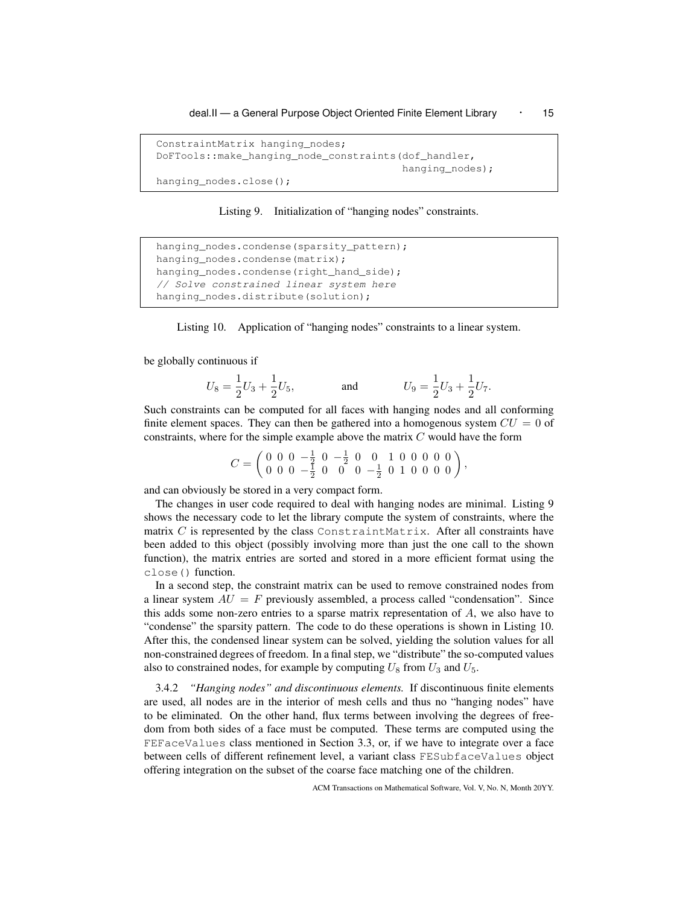deal.II - a General Purpose Object Oriented Finite Element Library · 15

```
ConstraintMatrix hanging_nodes;
DoFTools::make_hanging_node_constraints(dof_handler,
                                         hanging_nodes);
hanging_nodes.close();
```
Listing 9. Initialization of "hanging nodes" constraints.

```
hanging_nodes.condense(sparsity_pattern);
hanging_nodes.condense(matrix);
hanging_nodes.condense(right_hand_side);
// Solve constrained linear system here
hanging_nodes.distribute(solution);
```
Listing 10. Application of "hanging nodes" constraints to a linear system.

be globally continuous if

$$
U_8 = \frac{1}{2}U_3 + \frac{1}{2}U_5
$$
, and  $U_9 = \frac{1}{2}U_3 + \frac{1}{2}U_7$ .

Such constraints can be computed for all faces with hanging nodes and all conforming finite element spaces. They can then be gathered into a homogenous system  $CU = 0$  of constraints, where for the simple example above the matrix  $C$  would have the form

$$
C = \begin{pmatrix} 0 & 0 & 0 & -\frac{1}{2} & 0 & -\frac{1}{2} & 0 & 0 & 1 & 0 & 0 & 0 & 0 \\ 0 & 0 & 0 & -\frac{1}{2} & 0 & 0 & 0 & -\frac{1}{2} & 0 & 1 & 0 & 0 & 0 & 0 \end{pmatrix},
$$

and can obviously be stored in a very compact form.

The changes in user code required to deal with hanging nodes are minimal. Listing 9 shows the necessary code to let the library compute the system of constraints, where the matrix  $C$  is represented by the class ConstraintMatrix. After all constraints have been added to this object (possibly involving more than just the one call to the shown function), the matrix entries are sorted and stored in a more efficient format using the close() function.

In a second step, the constraint matrix can be used to remove constrained nodes from a linear system  $AU = F$  previously assembled, a process called "condensation". Since this adds some non-zero entries to a sparse matrix representation of  $A$ , we also have to "condense" the sparsity pattern. The code to do these operations is shown in Listing 10. After this, the condensed linear system can be solved, yielding the solution values for all non-constrained degrees of freedom. In a final step, we "distribute" the so-computed values also to constrained nodes, for example by computing  $U_8$  from  $U_3$  and  $U_5$ .

3.4.2 *"Hanging nodes" and discontinuous elements.* If discontinuous finite elements are used, all nodes are in the interior of mesh cells and thus no "hanging nodes" have to be eliminated. On the other hand, flux terms between involving the degrees of freedom from both sides of a face must be computed. These terms are computed using the FEFaceValues class mentioned in Section 3.3, or, if we have to integrate over a face between cells of different refinement level, a variant class FESubfaceValues object offering integration on the subset of the coarse face matching one of the children.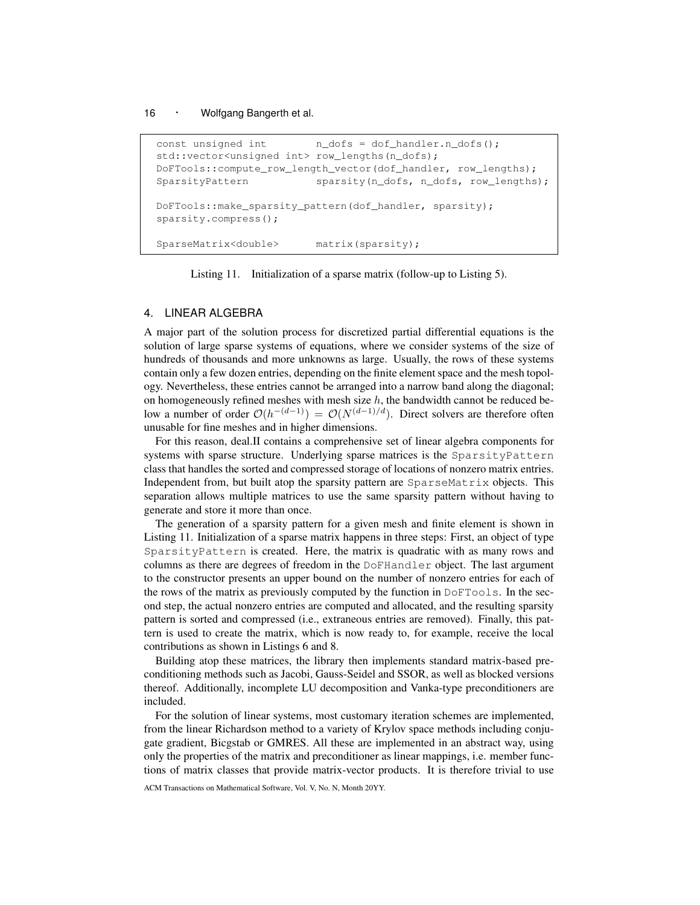```
const unsigned int n_dofs = dof_handler.n_dofs();
std::vector<unsigned int> row_lengths(n_dofs);
DoFTools::compute_row_length_vector(dof_handler, row_lengths);
SparsityPattern sparsity(n_dofs, n_dofs, row_lengths);
DoFTools::make_sparsity_pattern(dof_handler, sparsity);
sparsity.compress();
SparseMatrix<double> matrix(sparsity);
```
Listing 11. Initialization of a sparse matrix (follow-up to Listing 5).

## 4. LINEAR ALGEBRA

A major part of the solution process for discretized partial differential equations is the solution of large sparse systems of equations, where we consider systems of the size of hundreds of thousands and more unknowns as large. Usually, the rows of these systems contain only a few dozen entries, depending on the finite element space and the mesh topology. Nevertheless, these entries cannot be arranged into a narrow band along the diagonal; on homogeneously refined meshes with mesh size  $h$ , the bandwidth cannot be reduced below a number of order  $\mathcal{O}(h^{-(d-1)}) = \mathcal{O}(N^{(d-1)/d})$ . Direct solvers are therefore often unusable for fine meshes and in higher dimensions.

For this reason, deal.II contains a comprehensive set of linear algebra components for systems with sparse structure. Underlying sparse matrices is the SparsityPattern class that handles the sorted and compressed storage of locations of nonzero matrix entries. Independent from, but built atop the sparsity pattern are SparseMatrix objects. This separation allows multiple matrices to use the same sparsity pattern without having to generate and store it more than once.

The generation of a sparsity pattern for a given mesh and finite element is shown in Listing 11. Initialization of a sparse matrix happens in three steps: First, an object of type SparsityPattern is created. Here, the matrix is quadratic with as many rows and columns as there are degrees of freedom in the DoFHandler object. The last argument to the constructor presents an upper bound on the number of nonzero entries for each of the rows of the matrix as previously computed by the function in  $\text{DoFTools}$ . In the second step, the actual nonzero entries are computed and allocated, and the resulting sparsity pattern is sorted and compressed (i.e., extraneous entries are removed). Finally, this pattern is used to create the matrix, which is now ready to, for example, receive the local contributions as shown in Listings 6 and 8.

Building atop these matrices, the library then implements standard matrix-based preconditioning methods such as Jacobi, Gauss-Seidel and SSOR, as well as blocked versions thereof. Additionally, incomplete LU decomposition and Vanka-type preconditioners are included.

For the solution of linear systems, most customary iteration schemes are implemented, from the linear Richardson method to a variety of Krylov space methods including conjugate gradient, Bicgstab or GMRES. All these are implemented in an abstract way, using only the properties of the matrix and preconditioner as linear mappings, i.e. member functions of matrix classes that provide matrix-vector products. It is therefore trivial to use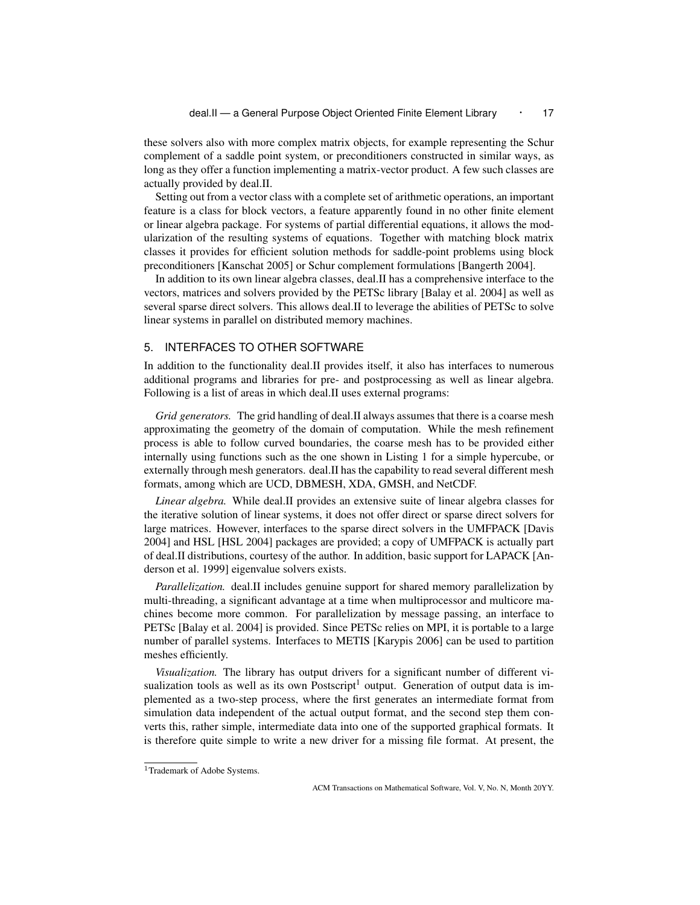these solvers also with more complex matrix objects, for example representing the Schur complement of a saddle point system, or preconditioners constructed in similar ways, as long as they offer a function implementing a matrix-vector product. A few such classes are actually provided by deal.II.

Setting out from a vector class with a complete set of arithmetic operations, an important feature is a class for block vectors, a feature apparently found in no other finite element or linear algebra package. For systems of partial differential equations, it allows the modularization of the resulting systems of equations. Together with matching block matrix classes it provides for efficient solution methods for saddle-point problems using block preconditioners [Kanschat 2005] or Schur complement formulations [Bangerth 2004].

In addition to its own linear algebra classes, deal.II has a comprehensive interface to the vectors, matrices and solvers provided by the PETSc library [Balay et al. 2004] as well as several sparse direct solvers. This allows deal.II to leverage the abilities of PETSc to solve linear systems in parallel on distributed memory machines.

## 5. INTERFACES TO OTHER SOFTWARE

In addition to the functionality deal.II provides itself, it also has interfaces to numerous additional programs and libraries for pre- and postprocessing as well as linear algebra. Following is a list of areas in which deal.II uses external programs:

*Grid generators.* The grid handling of deal.II always assumes that there is a coarse mesh approximating the geometry of the domain of computation. While the mesh refinement process is able to follow curved boundaries, the coarse mesh has to be provided either internally using functions such as the one shown in Listing 1 for a simple hypercube, or externally through mesh generators. deal.II has the capability to read several different mesh formats, among which are UCD, DBMESH, XDA, GMSH, and NetCDF.

*Linear algebra.* While deal.II provides an extensive suite of linear algebra classes for the iterative solution of linear systems, it does not offer direct or sparse direct solvers for large matrices. However, interfaces to the sparse direct solvers in the UMFPACK [Davis 2004] and HSL [HSL 2004] packages are provided; a copy of UMFPACK is actually part of deal.II distributions, courtesy of the author. In addition, basic support for LAPACK [Anderson et al. 1999] eigenvalue solvers exists.

*Parallelization.* deal.II includes genuine support for shared memory parallelization by multi-threading, a significant advantage at a time when multiprocessor and multicore machines become more common. For parallelization by message passing, an interface to PETSc [Balay et al. 2004] is provided. Since PETSc relies on MPI, it is portable to a large number of parallel systems. Interfaces to METIS [Karypis 2006] can be used to partition meshes efficiently.

*Visualization.* The library has output drivers for a significant number of different visualization tools as well as its own Postscript<sup>1</sup> output. Generation of output data is implemented as a two-step process, where the first generates an intermediate format from simulation data independent of the actual output format, and the second step them converts this, rather simple, intermediate data into one of the supported graphical formats. It is therefore quite simple to write a new driver for a missing file format. At present, the

<sup>&</sup>lt;sup>1</sup>Trademark of Adobe Systems.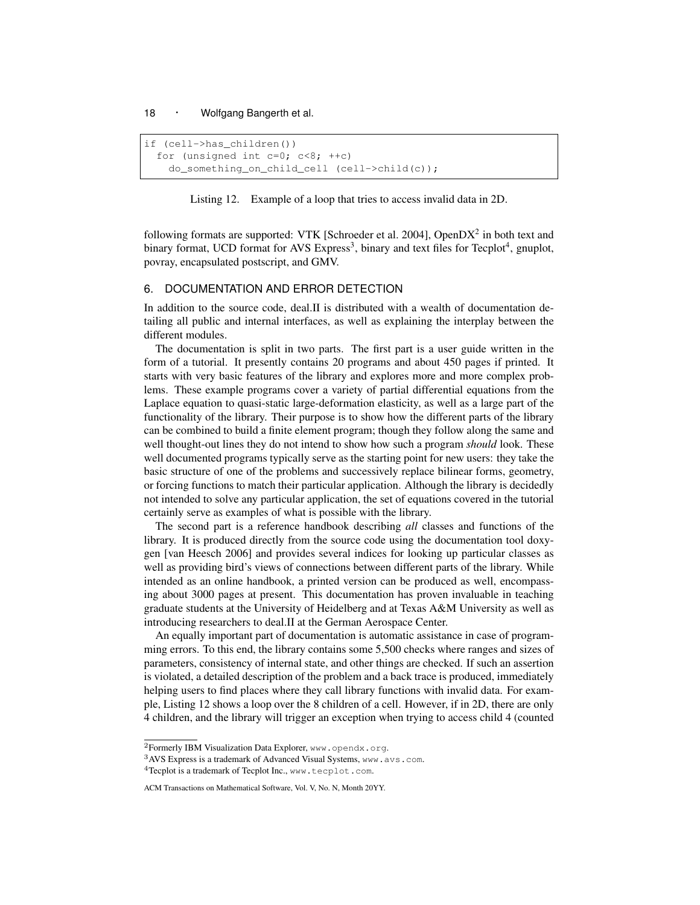```
if (cell->has_children())
  for (unsigned int c=0; c<8; ++c)
    do_something_on_child_cell (cell->child(c));
```


following formats are supported: VTK [Schroeder et al. 2004], OpenDX<sup>2</sup> in both text and binary format, UCD format for AVS Express<sup>3</sup>, binary and text files for Tecplot<sup>4</sup>, gnuplot, povray, encapsulated postscript, and GMV.

## 6. DOCUMENTATION AND ERROR DETECTION

In addition to the source code, deal.II is distributed with a wealth of documentation detailing all public and internal interfaces, as well as explaining the interplay between the different modules.

The documentation is split in two parts. The first part is a user guide written in the form of a tutorial. It presently contains 20 programs and about 450 pages if printed. It starts with very basic features of the library and explores more and more complex problems. These example programs cover a variety of partial differential equations from the Laplace equation to quasi-static large-deformation elasticity, as well as a large part of the functionality of the library. Their purpose is to show how the different parts of the library can be combined to build a finite element program; though they follow along the same and well thought-out lines they do not intend to show how such a program *should* look. These well documented programs typically serve as the starting point for new users: they take the basic structure of one of the problems and successively replace bilinear forms, geometry, or forcing functions to match their particular application. Although the library is decidedly not intended to solve any particular application, the set of equations covered in the tutorial certainly serve as examples of what is possible with the library.

The second part is a reference handbook describing *all* classes and functions of the library. It is produced directly from the source code using the documentation tool doxygen [van Heesch 2006] and provides several indices for looking up particular classes as well as providing bird's views of connections between different parts of the library. While intended as an online handbook, a printed version can be produced as well, encompassing about 3000 pages at present. This documentation has proven invaluable in teaching graduate students at the University of Heidelberg and at Texas A&M University as well as introducing researchers to deal.II at the German Aerospace Center.

An equally important part of documentation is automatic assistance in case of programming errors. To this end, the library contains some 5,500 checks where ranges and sizes of parameters, consistency of internal state, and other things are checked. If such an assertion is violated, a detailed description of the problem and a back trace is produced, immediately helping users to find places where they call library functions with invalid data. For example, Listing 12 shows a loop over the 8 children of a cell. However, if in 2D, there are only 4 children, and the library will trigger an exception when trying to access child 4 (counted

<sup>2</sup>Formerly IBM Visualization Data Explorer, www.opendx.org.

<sup>3</sup>AVS Express is a trademark of Advanced Visual Systems, www.avs.com.

<sup>&</sup>lt;sup>4</sup>Tecplot is a trademark of Tecplot Inc., www.tecplot.com.

ACM Transactions on Mathematical Software, Vol. V, No. N, Month 20YY.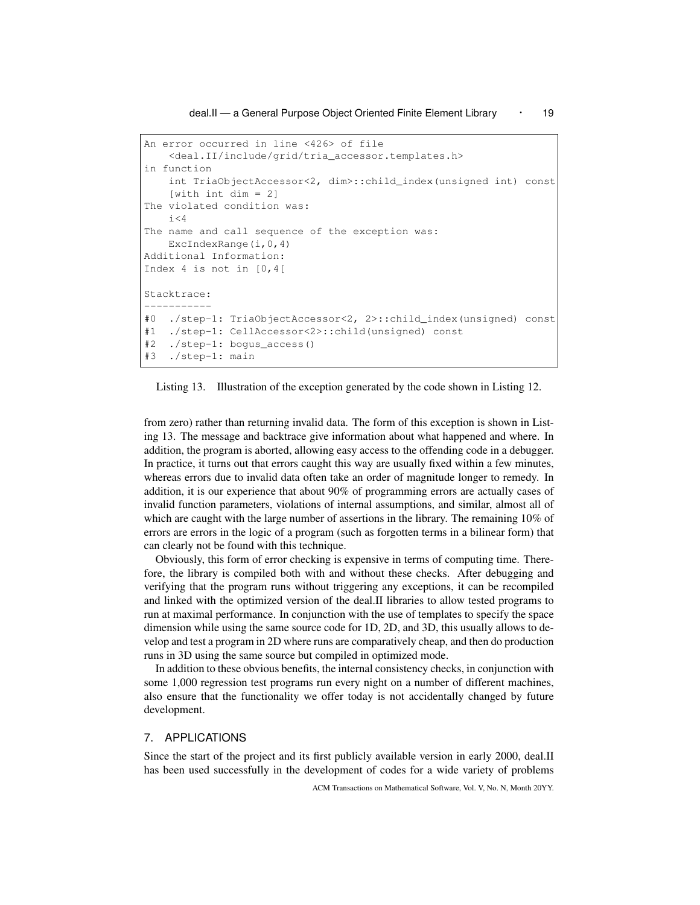deal.II — a General Purpose Object Oriented Finite Element Library • 19

```
An error occurred in line <426> of file
    <deal.II/include/grid/tria_accessor.templates.h>
in function
    int TriaObjectAccessor<2, dim>::child_index(unsigned int) const
    [with int dim = 2]
The violated condition was:
    i<4The name and call sequence of the exception was:
    ExcIndexRange(i,0,4)
Additional Information:
Index 4 is not in [0,4[
Stacktrace:
-----------
#0 ./step-1: TriaObjectAccessor<2, 2>::child_index(unsigned) const
#1 ./step-1: CellAccessor<2>::child(unsigned) const
#2 ./step-1: bogus_access()
#3 ./step-1: main
```
Listing 13. Illustration of the exception generated by the code shown in Listing 12.

from zero) rather than returning invalid data. The form of this exception is shown in Listing 13. The message and backtrace give information about what happened and where. In addition, the program is aborted, allowing easy access to the offending code in a debugger. In practice, it turns out that errors caught this way are usually fixed within a few minutes, whereas errors due to invalid data often take an order of magnitude longer to remedy. In addition, it is our experience that about 90% of programming errors are actually cases of invalid function parameters, violations of internal assumptions, and similar, almost all of which are caught with the large number of assertions in the library. The remaining 10% of errors are errors in the logic of a program (such as forgotten terms in a bilinear form) that can clearly not be found with this technique.

Obviously, this form of error checking is expensive in terms of computing time. Therefore, the library is compiled both with and without these checks. After debugging and verifying that the program runs without triggering any exceptions, it can be recompiled and linked with the optimized version of the deal.II libraries to allow tested programs to run at maximal performance. In conjunction with the use of templates to specify the space dimension while using the same source code for 1D, 2D, and 3D, this usually allows to develop and test a program in 2D where runs are comparatively cheap, and then do production runs in 3D using the same source but compiled in optimized mode.

In addition to these obvious benefits, the internal consistency checks, in conjunction with some 1,000 regression test programs run every night on a number of different machines, also ensure that the functionality we offer today is not accidentally changed by future development.

## 7. APPLICATIONS

Since the start of the project and its first publicly available version in early 2000, deal.II has been used successfully in the development of codes for a wide variety of problems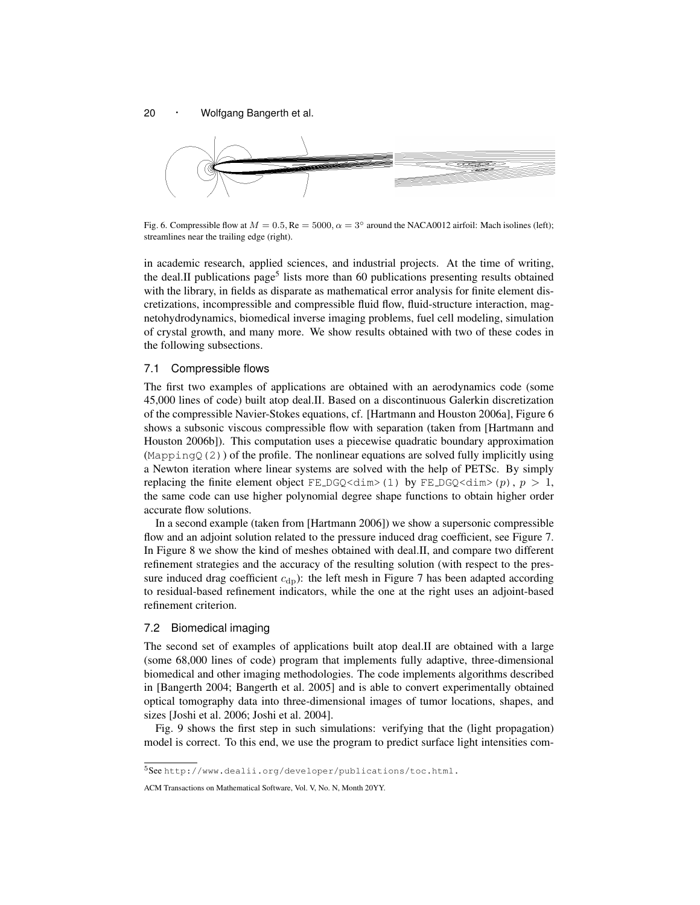

Fig. 6. Compressible flow at  $M = 0.5$ , Re = 5000,  $\alpha = 3^{\circ}$  around the NACA0012 airfoil: Mach isolines (left); streamlines near the trailing edge (right).

in academic research, applied sciences, and industrial projects. At the time of writing, the deal.II publications page<sup>5</sup> lists more than 60 publications presenting results obtained with the library, in fields as disparate as mathematical error analysis for finite element discretizations, incompressible and compressible fluid flow, fluid-structure interaction, magnetohydrodynamics, biomedical inverse imaging problems, fuel cell modeling, simulation of crystal growth, and many more. We show results obtained with two of these codes in the following subsections.

#### 7.1 Compressible flows

The first two examples of applications are obtained with an aerodynamics code (some 45,000 lines of code) built atop deal.II. Based on a discontinuous Galerkin discretization of the compressible Navier-Stokes equations, cf. [Hartmann and Houston 2006a], Figure 6 shows a subsonic viscous compressible flow with separation (taken from [Hartmann and Houston 2006b]). This computation uses a piecewise quadratic boundary approximation  $(MappingO(2))$  of the profile. The nonlinear equations are solved fully implicitly using a Newton iteration where linear systems are solved with the help of PETSc. By simply replacing the finite element object FE\_DGQ<dim>(1) by FE\_DGQ<dim>(p),  $p > 1$ , the same code can use higher polynomial degree shape functions to obtain higher order accurate flow solutions.

In a second example (taken from [Hartmann 2006]) we show a supersonic compressible flow and an adjoint solution related to the pressure induced drag coefficient, see Figure 7. In Figure 8 we show the kind of meshes obtained with deal.II, and compare two different refinement strategies and the accuracy of the resulting solution (with respect to the pressure induced drag coefficient  $c_{dp}$ ): the left mesh in Figure 7 has been adapted according to residual-based refinement indicators, while the one at the right uses an adjoint-based refinement criterion.

#### 7.2 Biomedical imaging

The second set of examples of applications built atop deal.II are obtained with a large (some 68,000 lines of code) program that implements fully adaptive, three-dimensional biomedical and other imaging methodologies. The code implements algorithms described in [Bangerth 2004; Bangerth et al. 2005] and is able to convert experimentally obtained optical tomography data into three-dimensional images of tumor locations, shapes, and sizes [Joshi et al. 2006; Joshi et al. 2004].

Fig. 9 shows the first step in such simulations: verifying that the (light propagation) model is correct. To this end, we use the program to predict surface light intensities com-

<sup>5</sup>See http://www.dealii.org/developer/publications/toc.html.

ACM Transactions on Mathematical Software, Vol. V, No. N, Month 20YY.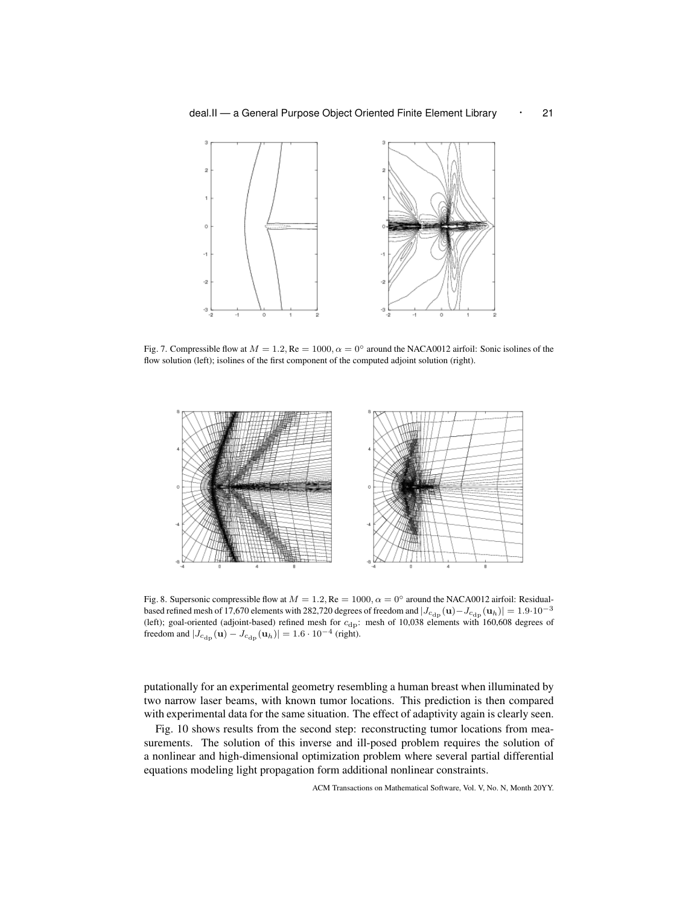

Fig. 7. Compressible flow at  $M = 1.2$ , Re = 1000,  $\alpha = 0^\circ$  around the NACA0012 airfoil: Sonic isolines of the flow solution (left); isolines of the first component of the computed adjoint solution (right).



Fig. 8. Supersonic compressible flow at  $M = 1.2$ , Re = 1000,  $\alpha = 0^{\circ}$  around the NACA0012 airfoil: Residualbased refined mesh of 17,670 elements with 282,720 degrees of freedom and  $|J_{\text{c}_{dp}}(\mathbf{u})-J_{\text{c}_{dp}}(\mathbf{u}_h)| = 1.9 \cdot 10^{-3}$ (left); goal-oriented (adjoint-based) refined mesh for  $c_{dp}$ : mesh of 10,038 elements with 160,608 degrees of freedom and  $|J_{c_{\text{dp}}}(\mathbf{u}) - J_{c_{\text{dp}}}(\mathbf{u}_h)| = 1.6 \cdot 10^{-4}$  (right).

putationally for an experimental geometry resembling a human breast when illuminated by two narrow laser beams, with known tumor locations. This prediction is then compared with experimental data for the same situation. The effect of adaptivity again is clearly seen.

Fig. 10 shows results from the second step: reconstructing tumor locations from measurements. The solution of this inverse and ill-posed problem requires the solution of a nonlinear and high-dimensional optimization problem where several partial differential equations modeling light propagation form additional nonlinear constraints.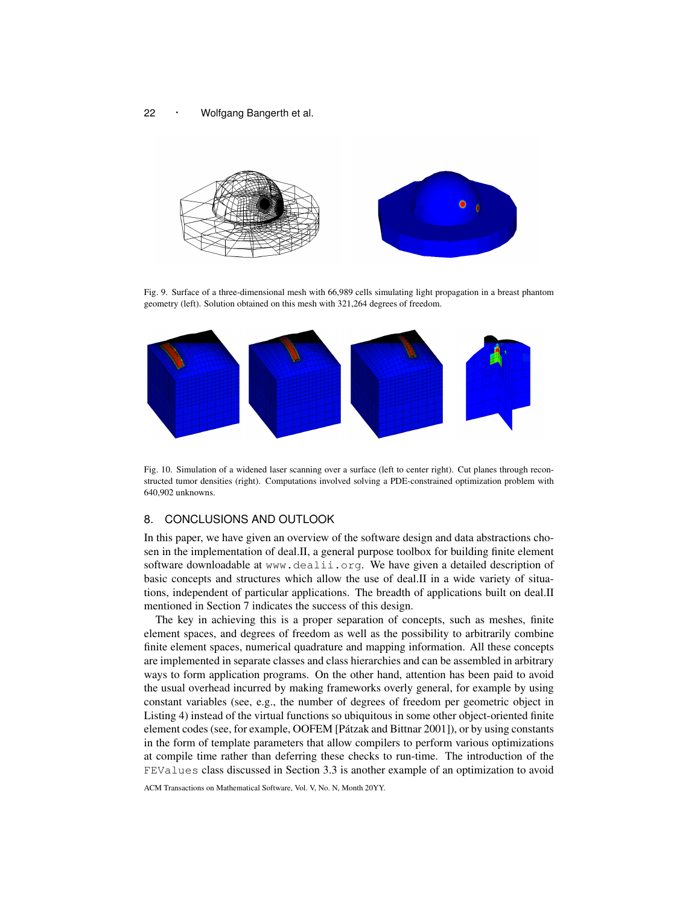<sup>22</sup> · Wolfgang Bangerth et al.



Fig. 9. Surface of a three-dimensional mesh with 66,989 cells simulating light propagation in a breast phantom geometry (left). Solution obtained on this mesh with 321,264 degrees of freedom.



Fig. 10. Simulation of a widened laser scanning over a surface (left to center right). Cut planes through reconstructed tumor densities (right). Computations involved solving a PDE-constrained optimization problem with 640,902 unknowns.

# 8. CONCLUSIONS AND OUTLOOK

In this paper, we have given an overview of the software design and data abstractions chosen in the implementation of deal.II, a general purpose toolbox for building finite element software downloadable at www.dealii.org. We have given a detailed description of basic concepts and structures which allow the use of deal.II in a wide variety of situations, independent of particular applications. The breadth of applications built on deal.II mentioned in Section 7 indicates the success of this design.

The key in achieving this is a proper separation of concepts, such as meshes, finite element spaces, and degrees of freedom as well as the possibility to arbitrarily combine finite element spaces, numerical quadrature and mapping information. All these concepts are implemented in separate classes and class hierarchies and can be assembled in arbitrary ways to form application programs. On the other hand, attention has been paid to avoid the usual overhead incurred by making frameworks overly general, for example by using constant variables (see, e.g., the number of degrees of freedom per geometric object in Listing 4) instead of the virtual functions so ubiquitous in some other object-oriented finite element codes (see, for example, OOFEM [Patzak and Bittnar 2001]), or by using constants ´ in the form of template parameters that allow compilers to perform various optimizations at compile time rather than deferring these checks to run-time. The introduction of the FEValues class discussed in Section 3.3 is another example of an optimization to avoid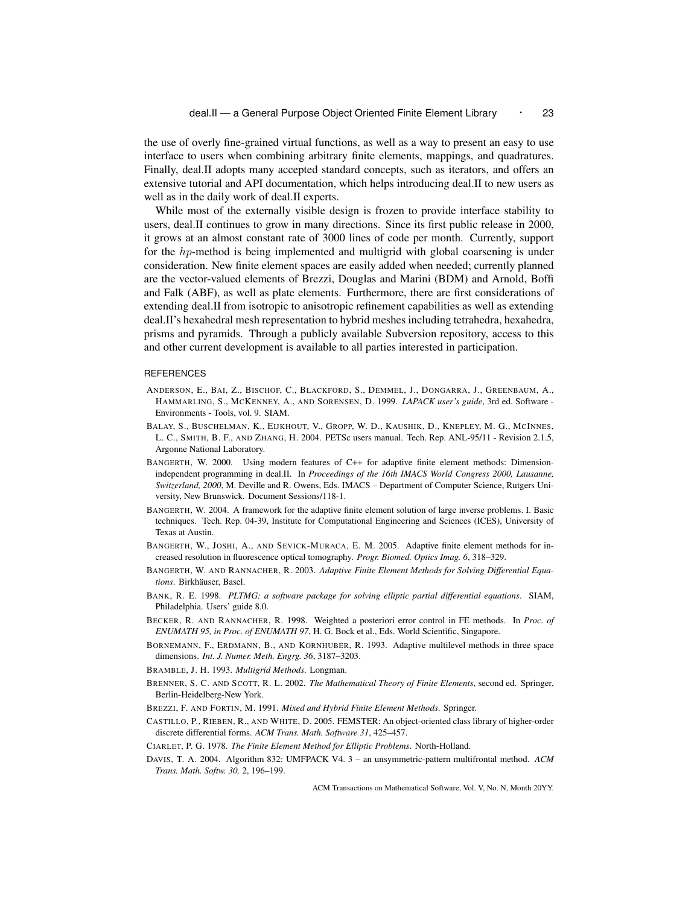the use of overly fine-grained virtual functions, as well as a way to present an easy to use interface to users when combining arbitrary finite elements, mappings, and quadratures. Finally, deal.II adopts many accepted standard concepts, such as iterators, and offers an extensive tutorial and API documentation, which helps introducing deal.II to new users as well as in the daily work of deal.II experts.

While most of the externally visible design is frozen to provide interface stability to users, deal.II continues to grow in many directions. Since its first public release in 2000, it grows at an almost constant rate of 3000 lines of code per month. Currently, support for the hp-method is being implemented and multigrid with global coarsening is under consideration. New finite element spaces are easily added when needed; currently planned are the vector-valued elements of Brezzi, Douglas and Marini (BDM) and Arnold, Boffi and Falk (ABF), as well as plate elements. Furthermore, there are first considerations of extending deal.II from isotropic to anisotropic refinement capabilities as well as extending deal.II's hexahedral mesh representation to hybrid meshes including tetrahedra, hexahedra, prisms and pyramids. Through a publicly available Subversion repository, access to this and other current development is available to all parties interested in participation.

#### REFERENCES

- ANDERSON, E., BAI, Z., BISCHOF, C., BLACKFORD, S., DEMMEL, J., DONGARRA, J., GREENBAUM, A., HAMMARLING, S., MCKENNEY, A., AND SORENSEN, D. 1999. *LAPACK user's guide*, 3rd ed. Software - Environments - Tools, vol. 9. SIAM.
- BALAY, S., BUSCHELMAN, K., EIJKHOUT, V., GROPP, W. D., KAUSHIK, D., KNEPLEY, M. G., MCINNES, L. C., SMITH, B. F., AND ZHANG, H. 2004. PETSc users manual. Tech. Rep. ANL-95/11 - Revision 2.1.5, Argonne National Laboratory.
- BANGERTH, W. 2000. Using modern features of C++ for adaptive finite element methods: Dimensionindependent programming in deal.II. In *Proceedings of the 16th IMACS World Congress 2000, Lausanne, Switzerland, 2000*, M. Deville and R. Owens, Eds. IMACS – Department of Computer Science, Rutgers University, New Brunswick. Document Sessions/118-1.
- BANGERTH, W. 2004. A framework for the adaptive finite element solution of large inverse problems. I. Basic techniques. Tech. Rep. 04-39, Institute for Computational Engineering and Sciences (ICES), University of Texas at Austin.
- BANGERTH, W., JOSHI, A., AND SEVICK-MURACA, E. M. 2005. Adaptive finite element methods for increased resolution in fluorescence optical tomography. *Progr. Biomed. Optics Imag. 6*, 318–329.
- BANGERTH, W. AND RANNACHER, R. 2003. *Adaptive Finite Element Methods for Solving Differential Equa* $tions$ . Birkhäuser, Basel.
- BANK, R. E. 1998. *PLTMG: a software package for solving elliptic partial differential equations*. SIAM, Philadelphia. Users' guide 8.0.
- BECKER, R. AND RANNACHER, R. 1998. Weighted a posteriori error control in FE methods. In *Proc. of ENUMATH 95, in Proc. of ENUMATH 97*, H. G. Bock et al., Eds. World Scientific, Singapore.
- BORNEMANN, F., ERDMANN, B., AND KORNHUBER, R. 1993. Adaptive multilevel methods in three space dimensions. *Int. J. Numer. Meth. Engrg. 36*, 3187–3203.
- BRAMBLE, J. H. 1993. *Multigrid Methods*. Longman.
- BRENNER, S. C. AND SCOTT, R. L. 2002. *The Mathematical Theory of Finite Elements*, second ed. Springer, Berlin-Heidelberg-New York.
- BREZZI, F. AND FORTIN, M. 1991. *Mixed and Hybrid Finite Element Methods*. Springer.
- CASTILLO, P., RIEBEN, R., AND WHITE, D. 2005. FEMSTER: An object-oriented class library of higher-order discrete differential forms. *ACM Trans. Math. Software 31*, 425–457.
- CIARLET, P. G. 1978. *The Finite Element Method for Elliptic Problems*. North-Holland.
- DAVIS, T. A. 2004. Algorithm 832: UMFPACK V4. 3 an unsymmetric-pattern multifrontal method. *ACM Trans. Math. Softw. 30,* 2, 196–199.